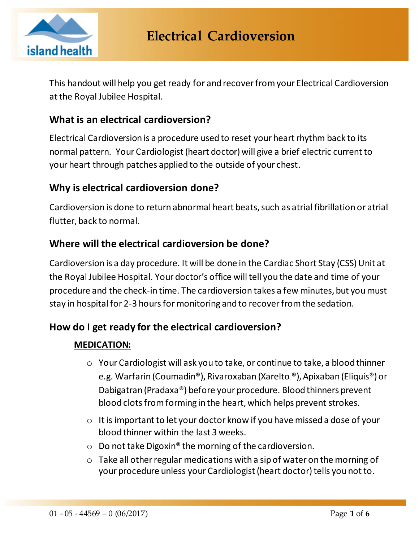

This handout will help you get ready for and recover from your Electrical Cardioversion at the Royal Jubilee Hospital.

### **What is an electrical cardioversion?**

Electrical Cardioversion is a procedure used to reset your heart rhythm back to its normal pattern. Your Cardiologist (heart doctor) will give a brief electric current to your heart through patches applied to the outside of your chest.

### **Why is electrical cardioversion done?**

Cardioversion is done to return abnormal heart beats, such as atrial fibrillation or atrial flutter, back to normal.

### **Where will the electrical cardioversion be done?**

Cardioversion is a day procedure. It will be done in the Cardiac Short Stay (CSS) Unit at the Royal Jubilee Hospital. Your doctor's office will tell you the date and time of your procedure and the check-in time. The cardioversion takes a few minutes, but you must stay in hospital for 2-3 hours for monitoring and to recover from the sedation.

# **How do I get ready for the electrical cardioversion?**

#### **MEDICATION:**

- o Your Cardiologist will ask you to take, or continue to take, a blood thinner e.g. Warfarin (Coumadin®), Rivaroxaban (Xarelto ®), Apixaban (Eliquis®) or Dabigatran (Pradaxa®) before your procedure. Blood thinners prevent blood clots from forming in the heart, which helps prevent strokes.
- o It is important to let your doctor know if you have missed a dose of your blood thinner within the last 3 weeks.
- $\circ$  Do not take Digoxin® the morning of the cardioversion.
- $\circ$  Take all other regular medications with a sip of water on the morning of your procedure unless your Cardiologist (heart doctor) tells you not to.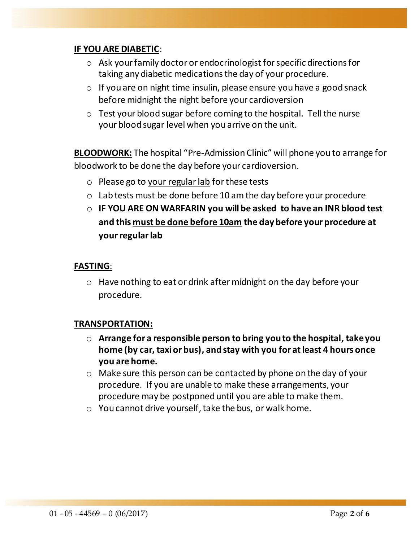#### **IF YOU ARE DIABETIC**:

- o Ask your family doctor or endocrinologist for specific directions for taking any diabetic medications the day of your procedure.
- $\circ$  If you are on night time insulin, please ensure you have a good snack before midnight the night before your cardioversion
- $\circ$  Test your blood sugar before coming to the hospital. Tell the nurse your blood sugar level when you arrive on the unit.

**BLOODWORK:** The hospital "Pre-Admission Clinic" will phone you to arrange for bloodwork to be done the day before your cardioversion.

- o Please go to your regular lab for these tests
- $\circ$  Lab tests must be done before 10 am the day before your procedure
- o **IF YOU ARE ON WARFARIN you will be asked to have an INR blood test and this must be done before 10am the day before your procedure at your regular lab**

#### **FASTING**:

o Have nothing to eat or drink after midnight on the day before your procedure.

#### **TRANSPORTATION:**

- o **Arrange for a responsible person to bring you to the hospital, take you home (by car, taxi or bus), and stay with you for at least 4 hours once you are home.**
- o Make sure this person can be contacted by phone on the day of your procedure. If you are unable to make these arrangements, your procedure may be postponed until you are able to make them.
- o You cannot drive yourself, take the bus, or walk home.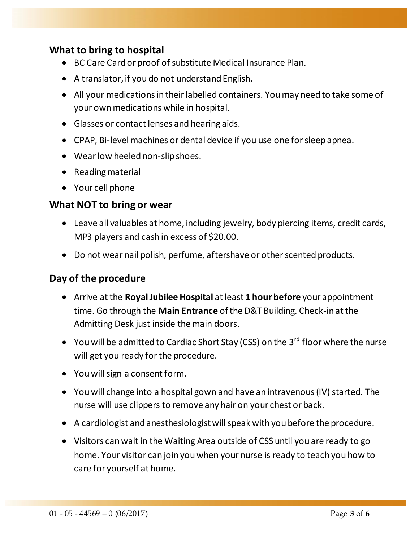# **What to bring to hospital**

- BC Care Card or proof of substitute Medical Insurance Plan.
- A translator, if you do not understand English.
- All your medications in their labelled containers. You may need to take some of your own medications while in hospital.
- Glasses or contact lenses and hearing aids.
- CPAP, Bi-level machines or dental device if you use one for sleep apnea.
- Wear low heeled non-slip shoes.
- Reading material
- Your cell phone

#### **What NOT to bring or wear**

- Leave all valuables at home, including jewelry, body piercing items, credit cards, MP3 players and cash in excess of \$20.00.
- Do not wear nail polish, perfume, aftershave or other scented products.

# **Day of the procedure**

- Arrive at the **Royal Jubilee Hospital** at least **1 hour before** your appointment time. Go through the **Main Entrance** of the D&T Building. Check-in at the Admitting Desk just inside the main doors.
- You will be admitted to Cardiac Short Stay (CSS) on the 3<sup>rd</sup> floor where the nurse will get you ready for the procedure.
- You will sign a consent form.
- You will change into a hospital gown and have an intravenous (IV) started. The nurse will use clippers to remove any hair on your chest or back.
- A cardiologist and anesthesiologist will speak with you before the procedure.
- Visitors can wait in the Waiting Area outside of CSS until you are ready to go home. Your visitor can join you when your nurse is ready to teach you how to care for yourself at home.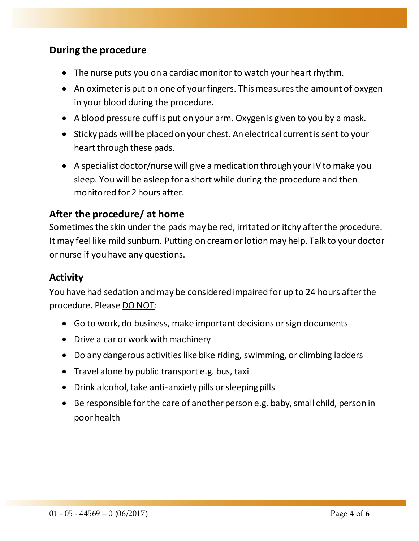# **During the procedure**

- The nurse puts you on a cardiac monitor to watch your heart rhythm.
- An oximeter is put on one of your fingers. This measures the amount of oxygen in your blood during the procedure.
- A blood pressure cuff is put on your arm. Oxygen is given to you by a mask.
- Sticky pads will be placed on your chest. An electrical current is sent to your heart through these pads.
- A specialist doctor/nurse will give a medication through your IV to make you sleep. You will be asleep for a short while during the procedure and then monitored for 2 hours after.

### **After the procedure/ at home**

Sometimes the skin under the pads may be red, irritated or itchy after the procedure. It may feel like mild sunburn. Putting on cream or lotion may help. Talk to your doctor or nurse if you have any questions.

# **Activity**

You have had sedation and may be considered impaired for up to 24 hours after the procedure. Please DO NOT:

- Go to work, do business, make important decisions or sign documents
- Drive a car or work with machinery
- Do any dangerous activities like bike riding, swimming, or climbing ladders
- Travel alone by public transport e.g. bus, taxi
- Drink alcohol, take anti-anxiety pills or sleeping pills
- Be responsible for the care of another person e.g. baby, small child, person in poor health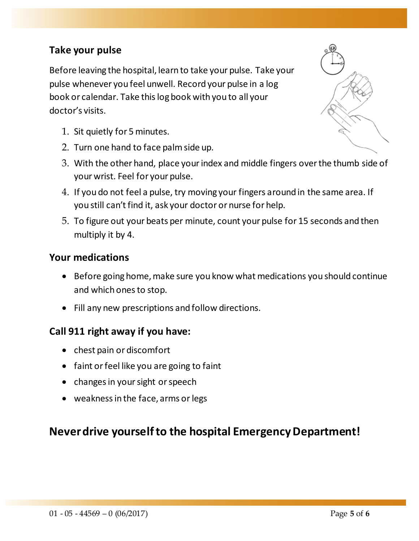# **Take your pulse**

Before leaving the hospital, learn to take your pulse. Take your pulse whenever you feel unwell. Record your pulse in a log book or calendar. Take this log book with you to all your doctor's visits.

- 1. Sit quietly for 5 minutes.
- 2. Turn one hand to face palm side up.
- 3. With the other hand, place your index and middle fingers over the thumb side of your wrist. Feel for your pulse.
- 4. If you do not feel a pulse, try moving your fingers around in the same area. If you still can't find it, ask your doctor or nurse for help.
- 5. To figure out your beats per minute, count your pulse for 15 seconds and then multiply it by 4.

#### **Your medications**

- Before going home, make sure you know what medications you should continue and which ones to stop.
- Fill any new prescriptions and follow directions.

# **Call 911 right away if you have:**

- chest pain or discomfort
- faint or feel like you are going to faint
- changes in your sight or speech
- weakness in the face, arms or legs

# **Never drive yourself to the hospital Emergency Department!**